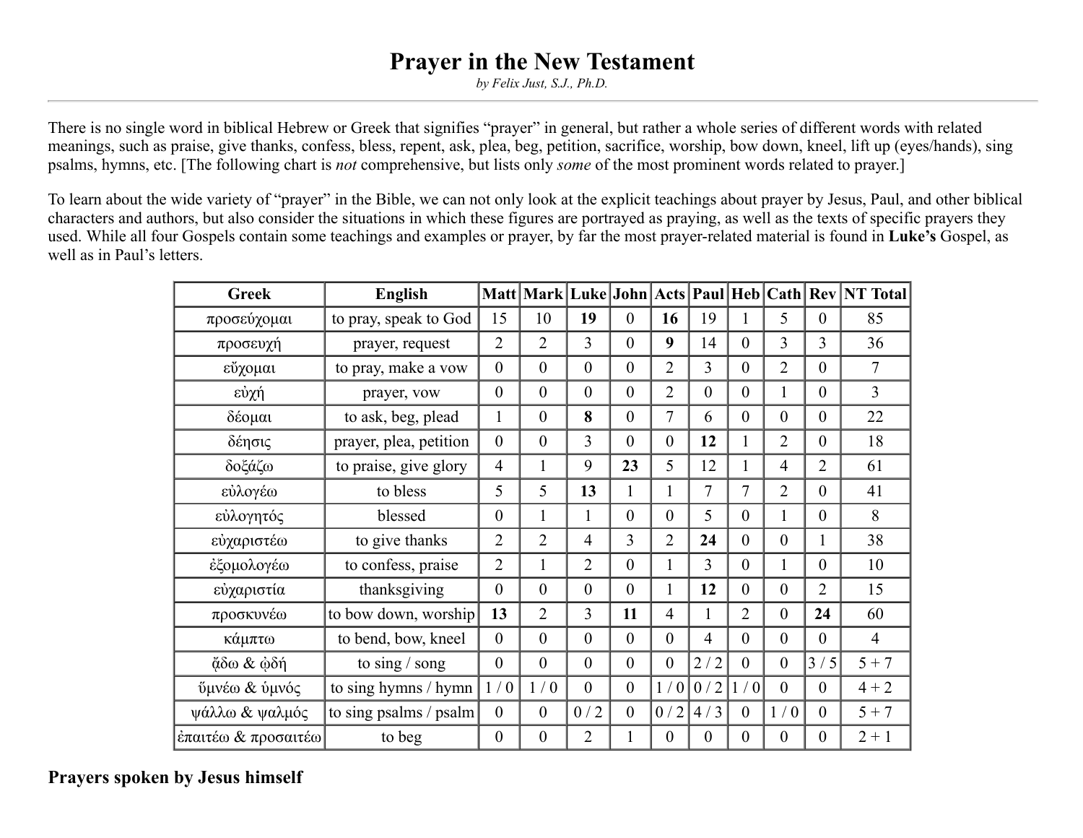# **Prayer in the New Testament**

*by Felix Just, S.J., Ph.D.*

There is no single word in biblical Hebrew or Greek that signifies "prayer" in general, but rather a whole series of different words with related meanings, such as praise, give thanks, confess, bless, repent, ask, plea, beg, petition, sacrifice, worship, bow down, kneel, lift up (eyes/hands), sing psalms, hymns, etc. [The following chart is *not* comprehensive, but lists only *some* of the most prominent words related to prayer.]

To learn about the wide variety of "prayer" in the Bible, we can not only look at the explicit teachings about prayer by Jesus, Paul, and other biblical characters and authors, but also consider the situations in which these figures are portrayed as praying, as well as the texts of specific prayers they used. While all four Gospels contain some teachings and examples or prayer, by far the most prayer-related material is found in **Luke's** Gospel, as well as in Paul's letters.

| <b>Greek</b>        | <b>English</b>         |                  |                  |                |                  |                  |                  |                |                  |                  | Matt   Mark   Luke   John   Acts   Paul   Heb   Cath   Rev   NT Total |
|---------------------|------------------------|------------------|------------------|----------------|------------------|------------------|------------------|----------------|------------------|------------------|-----------------------------------------------------------------------|
| προσεύχομαι         | to pray, speak to God  | 15               | 10               | 19             | $\overline{0}$   | 16               | 19               | 1              | 5                | $\overline{0}$   | 85                                                                    |
| προσευχή            | prayer, request        | $\overline{2}$   | $\overline{2}$   | $\overline{3}$ | $\mathbf{0}$     | 9                | 14               | $\overline{0}$ | 3                | $\overline{3}$   | 36                                                                    |
| εύχομαι             | to pray, make a vow    | $\theta$         | $\overline{0}$   | $\theta$       | $\mathbf{0}$     | $\overline{2}$   | $\overline{3}$   | $\theta$       | $\overline{2}$   | $\theta$         | 7                                                                     |
| εύχή                | prayer, vow            | $\mathbf{0}$     | $\overline{0}$   | $\theta$       | $\overline{0}$   | $\overline{2}$   | $\overline{0}$   | $\theta$       | $\mathbf{1}$     | $\theta$         | $\overline{3}$                                                        |
| δέομαι              | to ask, beg, plead     | $\mathbf{1}$     | $\overline{0}$   | 8              | $\mathbf{0}$     | 7                | 6                | $\mathbf{0}$   | $\boldsymbol{0}$ | $\theta$         | 22                                                                    |
| δέησις              | prayer, plea, petition | $\mathbf{0}$     | $\boldsymbol{0}$ | $\overline{3}$ | $\overline{0}$   | $\boldsymbol{0}$ | 12               | 1              | $\overline{2}$   | $\theta$         | 18                                                                    |
| δοξάζω              | to praise, give glory  | $\overline{4}$   | $\mathbf{1}$     | 9              | 23               | 5                | 12               | 1              | $\overline{4}$   | $\overline{2}$   | 61                                                                    |
| εύλογέω             | to bless               | 5                | 5                | 13             | $\mathbf{1}$     | $\mathbf{1}$     | 7                | 7              | $\overline{2}$   | $\theta$         | 41                                                                    |
| εύλογητός           | blessed                | $\theta$         | $\mathbf{1}$     | 1              | $\theta$         | $\overline{0}$   | 5                | $\theta$       | $\mathbf{1}$     | $\theta$         | 8                                                                     |
| εύχαριστέω          | to give thanks         | $\overline{2}$   | $\overline{2}$   | $\overline{4}$ | 3                | $\overline{2}$   | 24               | $\theta$       | $\boldsymbol{0}$ | 1                | 38                                                                    |
| έξομολογέω          | to confess, praise     | $\overline{2}$   | $\mathbf{1}$     | $\overline{2}$ | $\mathbf{0}$     | $\mathbf{1}$     | $\overline{3}$   | $\theta$       | $\mathbf{1}$     | $\mathbf{0}$     | 10                                                                    |
| εύχαριστία          | thanksgiving           | $\boldsymbol{0}$ | $\boldsymbol{0}$ | $\mathbf{0}$   | $\boldsymbol{0}$ | $\mathbf{1}$     | 12               | $\overline{0}$ | $\boldsymbol{0}$ | $\overline{2}$   | 15                                                                    |
| προσκυνέω           | to bow down, worship   | 13               | $\overline{2}$   | $\overline{3}$ | 11               | $\overline{4}$   | 1                | $\overline{2}$ | $\boldsymbol{0}$ | 24               | 60                                                                    |
| κάμπτω              | to bend, bow, kneel    | $\theta$         | $\boldsymbol{0}$ | $\mathbf{0}$   | $\boldsymbol{0}$ | $\boldsymbol{0}$ | $\overline{4}$   | $\overline{0}$ | $\boldsymbol{0}$ | $\mathbf{0}$     | $\overline{4}$                                                        |
| άδω & ώδή           | to sing $/$ song       | $\mathbf{0}$     | $\overline{0}$   | $\mathbf{0}$   | $\overline{0}$   | $\overline{0}$   | 2/2              | $\mathbf{0}$   | $\overline{0}$   | 3/5              | $5 + 7$                                                               |
| ύμνέω & ύμνός       | to sing hymns / hymn   | 1/0              | 1/0              | $\mathbf{0}$   | $\overline{0}$   | 1/0              | 0/2              | 1/0            | $\overline{0}$   | $\theta$         | $4 + 2$                                                               |
| ψάλλω & ψαλμός      | to sing psalms / psalm | $\theta$         | $\boldsymbol{0}$ | 0/2            | $\boldsymbol{0}$ | 0/2              | 4/3              | $\mathbf{0}$   | 1/0              | $\theta$         | $5 + 7$                                                               |
| έπαιτέω & προσαιτέω | to beg                 | $\boldsymbol{0}$ | $\boldsymbol{0}$ | $\overline{2}$ | 1                | $\boldsymbol{0}$ | $\boldsymbol{0}$ | $\overline{0}$ | $\boldsymbol{0}$ | $\boldsymbol{0}$ | $2 + 1$                                                               |

**Prayers spoken by Jesus himself**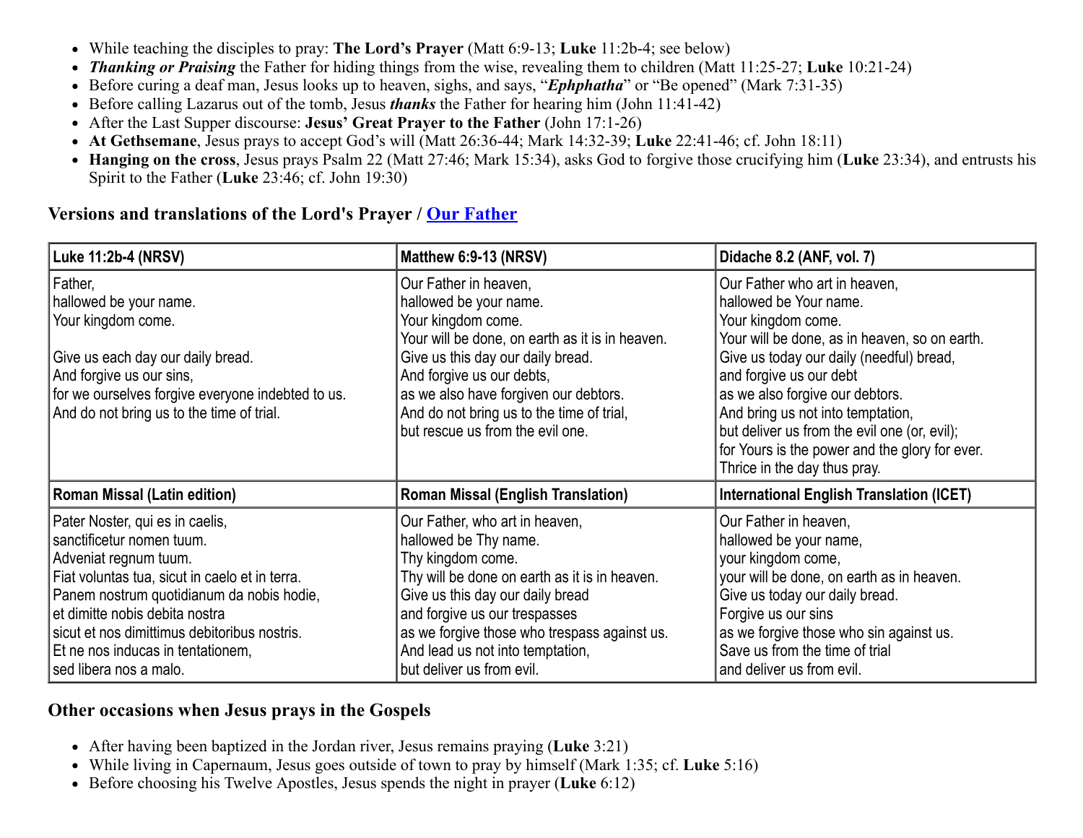- While teaching the disciples to pray: **The Lord's Prayer** (Matt 6:9-13; **Luke** 11:2b-4; see below)
- *Thanking or Praising* the Father for hiding things from the wise, revealing them to children (Matt 11:25-27; **Luke** 10:21-24)
- Before curing a deaf man, Jesus looks up to heaven, sighs, and says, "*Ephphatha*" or "Be opened" (Mark 7:31-35)
- Before calling Lazarus out of the tomb, Jesus *thanks* the Father for hearing him (John 11:41-42)
- After the Last Supper discourse: **Jesus' Great Prayer to the Father** (John 17:1-26)
- **At Gethsemane**, Jesus prays to accept God's will (Matt 26:36-44; Mark 14:32-39; **Luke** 22:41-46; cf. John 18:11)
- **Hanging on the cross**, Jesus prays Psalm 22 (Matt 27:46; Mark 15:34), asks God to forgive those crucifying him (**Luke** 23:34), and entrusts his Spirit to the Father (**Luke** 23:46; cf. John 19:30)

#### **Versions and translations of the Lord's Prayer / [Our Father](https://catholic-resources.org/Bible/Prayer-OurFather.htm)**

| Luke 11:2b-4 (NRSV)                                                                                                                                                                                                                                                                                                                   | Matthew 6:9-13 (NRSV)                                                                                                                                                                                                                                                                                                | Didache 8.2 (ANF, vol. 7)                                                                                                                                                                                                                                                                                                                                                                                       |  |  |  |  |
|---------------------------------------------------------------------------------------------------------------------------------------------------------------------------------------------------------------------------------------------------------------------------------------------------------------------------------------|----------------------------------------------------------------------------------------------------------------------------------------------------------------------------------------------------------------------------------------------------------------------------------------------------------------------|-----------------------------------------------------------------------------------------------------------------------------------------------------------------------------------------------------------------------------------------------------------------------------------------------------------------------------------------------------------------------------------------------------------------|--|--|--|--|
| Father,<br>hallowed be your name.<br>Your kingdom come.<br>Give us each day our daily bread.<br>And forgive us our sins,<br>for we ourselves forgive everyone indebted to us.<br>And do not bring us to the time of trial.                                                                                                            | Our Father in heaven,<br>hallowed be your name.<br>Your kingdom come.<br>Your will be done, on earth as it is in heaven.<br>Give us this day our daily bread.<br>And forgive us our debts,<br>as we also have forgiven our debtors.<br>And do not bring us to the time of trial,<br>but rescue us from the evil one. | Our Father who art in heaven,<br>hallowed be Your name.<br>Your kingdom come.<br>Your will be done, as in heaven, so on earth.<br>Give us today our daily (needful) bread,<br>and forgive us our debt<br>as we also forgive our debtors.<br>And bring us not into temptation,<br>but deliver us from the evil one (or, evil);<br>for Yours is the power and the glory for ever.<br>Thrice in the day thus pray. |  |  |  |  |
| <b>Roman Missal (Latin edition)</b>                                                                                                                                                                                                                                                                                                   | <b>Roman Missal (English Translation)</b>                                                                                                                                                                                                                                                                            | <b>International English Translation (ICET)</b>                                                                                                                                                                                                                                                                                                                                                                 |  |  |  |  |
| Pater Noster, qui es in caelis,<br>sanctificetur nomen tuum.<br>Adveniat regnum tuum.<br>Fiat voluntas tua, sicut in caelo et in terra.<br>Panem nostrum quotidianum da nobis hodie,<br>et dimitte nobis debita nostra<br>sicut et nos dimittimus debitoribus nostris.<br>Et ne nos inducas in tentationem,<br>sed libera nos a malo. | Our Father, who art in heaven,<br>hallowed be Thy name.<br>Thy kingdom come.<br>Thy will be done on earth as it is in heaven.<br>Give us this day our daily bread<br>and forgive us our trespasses<br>as we forgive those who trespass against us.<br>And lead us not into temptation,<br>but deliver us from evil.  | Our Father in heaven,<br>hallowed be your name,<br>your kingdom come,<br>your will be done, on earth as in heaven.<br>Give us today our daily bread.<br>Forgive us our sins<br>as we forgive those who sin against us.<br>Save us from the time of trial<br>and deliver us from evil.                                                                                                                           |  |  |  |  |

### **Other occasions when Jesus prays in the Gospels**

- After having been baptized in the Jordan river, Jesus remains praying (**Luke** 3:21)
- While living in Capernaum, Jesus goes outside of town to pray by himself (Mark 1:35; cf. **Luke** 5:16)
- Before choosing his Twelve Apostles, Jesus spends the night in prayer (**Luke** 6:12)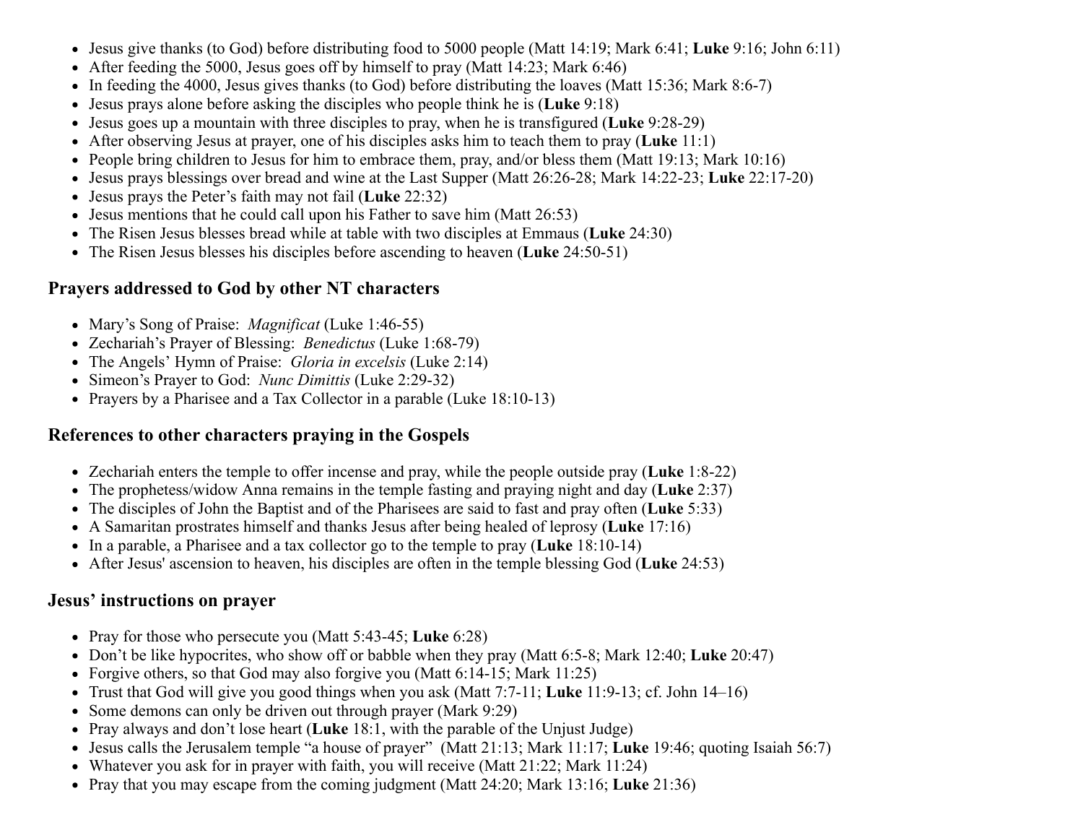- Jesus give thanks (to God) before distributing food to 5000 people (Matt 14:19; Mark 6:41; **Luke** 9:16; John 6:11)
- After feeding the 5000, Jesus goes off by himself to pray (Matt 14:23; Mark 6:46)
- In feeding the 4000, Jesus gives thanks (to God) before distributing the loaves (Matt 15:36; Mark 8:6-7)
- Jesus prays alone before asking the disciples who people think he is (**Luke** 9:18)
- Jesus goes up a mountain with three disciples to pray, when he is transfigured (**Luke** 9:28-29)
- After observing Jesus at prayer, one of his disciples asks him to teach them to pray (**Luke** 11:1)
- People bring children to Jesus for him to embrace them, pray, and/or bless them (Matt 19:13; Mark 10:16)
- Jesus prays blessings over bread and wine at the Last Supper (Matt 26:26-28; Mark 14:22-23; **Luke** 22:17-20)
- Jesus prays the Peter's faith may not fail (**Luke** 22:32)
- Jesus mentions that he could call upon his Father to save him (Matt 26:53)
- The Risen Jesus blesses bread while at table with two disciples at Emmaus (**Luke** 24:30)
- The Risen Jesus blesses his disciples before ascending to heaven (**Luke** 24:50-51)

#### **Prayers addressed to God by other NT characters**

- Mary's Song of Praise: *Magnificat* (Luke 1:46-55)
- Zechariah's Prayer of Blessing: *Benedictus* (Luke 1:68-79)
- The Angels' Hymn of Praise: *Gloria in excelsis* (Luke 2:14)
- Simeon's Prayer to God: *Nunc Dimittis* (Luke 2:29-32)
- Prayers by a Pharisee and a Tax Collector in a parable (Luke 18:10-13)

#### **References to other characters praying in the Gospels**

- Zechariah enters the temple to offer incense and pray, while the people outside pray (**Luke** 1:8-22)
- The prophetess/widow Anna remains in the temple fasting and praying night and day (**Luke** 2:37)
- The disciples of John the Baptist and of the Pharisees are said to fast and pray often (**Luke** 5:33)
- A Samaritan prostrates himself and thanks Jesus after being healed of leprosy (**Luke** 17:16)
- In a parable, a Pharisee and a tax collector go to the temple to pray (**Luke** 18:10-14)
- After Jesus' ascension to heaven, his disciples are often in the temple blessing God (**Luke** 24:53)

#### **Jesus' instructions on prayer**

- Pray for those who persecute you (Matt 5:43-45; **Luke** 6:28)
- Don't be like hypocrites, who show off or babble when they pray (Matt 6:5-8; Mark 12:40; **Luke** 20:47)
- Forgive others, so that God may also forgive you (Matt 6:14-15; Mark 11:25)
- Trust that God will give you good things when you ask (Matt 7:7-11; **Luke** 11:9-13; cf. John 14–16)
- Some demons can only be driven out through prayer (Mark 9:29)
- Pray always and don't lose heart (**Luke** 18:1, with the parable of the Unjust Judge)
- Jesus calls the Jerusalem temple "a house of prayer" (Matt 21:13; Mark 11:17; **Luke** 19:46; quoting Isaiah 56:7)
- Whatever you ask for in prayer with faith, you will receive (Matt 21:22; Mark 11:24)
- Pray that you may escape from the coming judgment (Matt 24:20; Mark 13:16; **Luke** 21:36)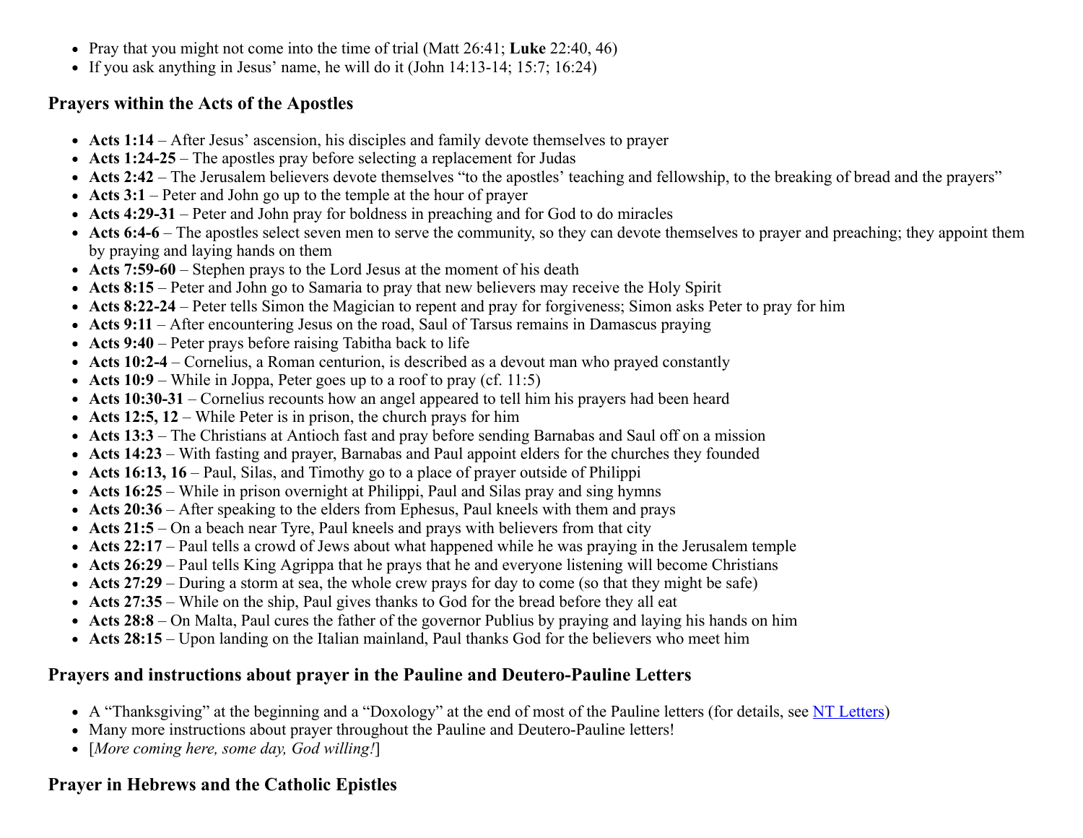- Pray that you might not come into the time of trial (Matt 26:41; **Luke** 22:40, 46)
- If you ask anything in Jesus' name, he will do it (John  $14:13-14$ ; 15:7; 16:24)

### **Prayers within the Acts of the Apostles**

- **Acts 1:14** After Jesus' ascension, his disciples and family devote themselves to prayer
- **Acts 1:24-25** The apostles pray before selecting a replacement for Judas
- Acts 2:42 The Jerusalem believers devote themselves "to the apostles' teaching and fellowship, to the breaking of bread and the prayers"
- Acts 3:1 Peter and John go up to the temple at the hour of prayer
- **Acts 4:29-31** Peter and John pray for boldness in preaching and for God to do miracles
- Acts 6:4-6 The apostles select seven men to serve the community, so they can devote themselves to prayer and preaching; they appoint them by praying and laying hands on them
- **Acts 7:59-60** Stephen prays to the Lord Jesus at the moment of his death
- **Acts 8:15** Peter and John go to Samaria to pray that new believers may receive the Holy Spirit
- **Acts 8:22-24** Peter tells Simon the Magician to repent and pray for forgiveness; Simon asks Peter to pray for him
- **Acts 9:11** After encountering Jesus on the road, Saul of Tarsus remains in Damascus praying
- **Acts 9:40** Peter prays before raising Tabitha back to life
- **Acts 10:2-4** Cornelius, a Roman centurion, is described as a devout man who prayed constantly
- Acts 10:9 While in Joppa, Peter goes up to a roof to pray (cf. 11:5)
- **Acts 10:30-31** Cornelius recounts how an angel appeared to tell him his prayers had been heard
- **Acts 12:5, 12** While Peter is in prison, the church prays for him
- **Acts 13:3** The Christians at Antioch fast and pray before sending Barnabas and Saul off on a mission
- **Acts 14:23** With fasting and prayer, Barnabas and Paul appoint elders for the churches they founded
- **Acts 16:13, 16** Paul, Silas, and Timothy go to a place of prayer outside of Philippi
- **Acts 16:25** While in prison overnight at Philippi, Paul and Silas pray and sing hymns
- **Acts 20:36** After speaking to the elders from Ephesus, Paul kneels with them and prays
- Acts 21:5 On a beach near Tyre, Paul kneels and prays with believers from that city
- **Acts 22:17** Paul tells a crowd of Jews about what happened while he was praying in the Jerusalem temple
- **Acts 26:29** Paul tells King Agrippa that he prays that he and everyone listening will become Christians
- **Acts 27:29** During a storm at sea, the whole crew prays for day to come (so that they might be safe)
- **Acts 27:35** While on the ship, Paul gives thanks to God for the bread before they all eat
- **Acts 28:8** On Malta, Paul cures the father of the governor Publius by praying and laying his hands on him
- **Acts 28:15** Upon landing on the Italian mainland, Paul thanks God for the believers who meet him

## **Prayers and instructions about prayer in the Pauline and Deutero-Pauline Letters**

- A "Thanksgiving" at the beginning and a "Doxology" at the end of most of the Pauline letters (for details, see [NT Letters\)](https://catholic-resources.org/Bible/NT_Letters.htm)
- Many more instructions about prayer throughout the Pauline and Deutero-Pauline letters!
- [*More coming here, some day, God willing!*]

# **Prayer in Hebrews and the Catholic Epistles**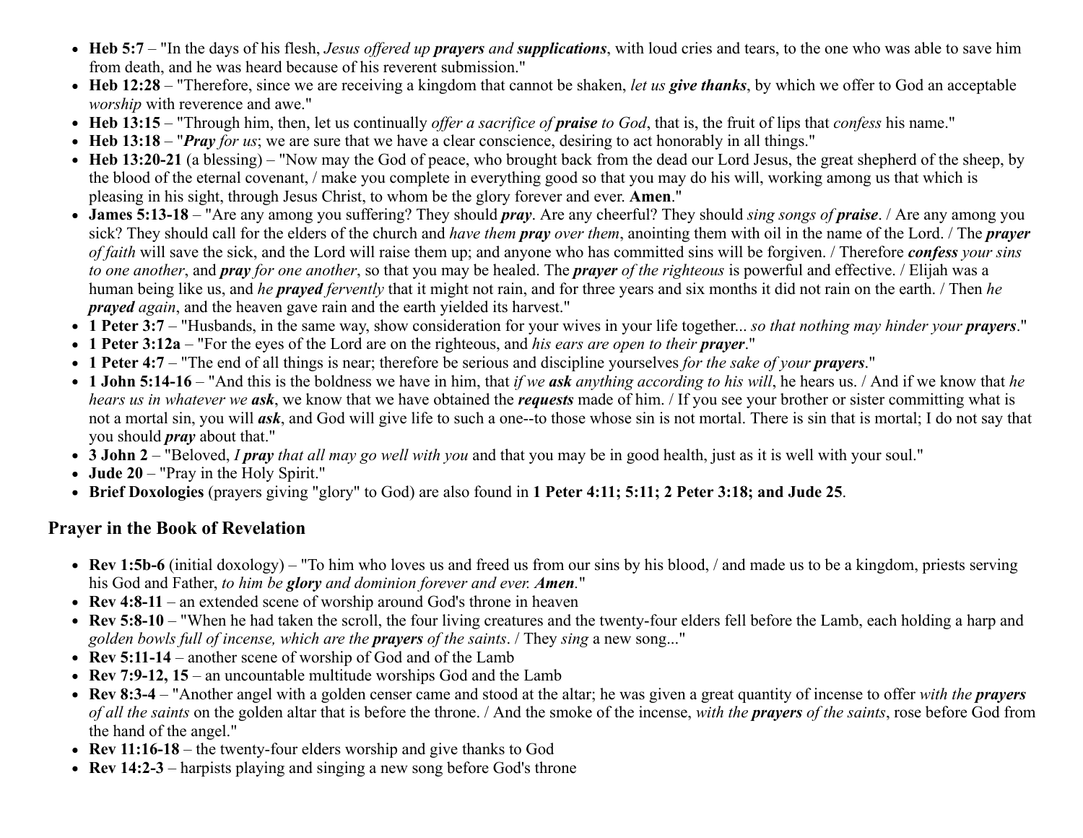- **Heb 5:7** "In the days of his flesh, *Jesus offered up prayers and supplications*, with loud cries and tears, to the one who was able to save him from death, and he was heard because of his reverent submission."
- **Heb 12:28** "Therefore, since we are receiving a kingdom that cannot be shaken, *let us give thanks*, by which we offer to God an acceptable *worship* with reverence and awe."
- **Heb 13:15** "Through him, then, let us continually *offer a sacrifice of praise to God*, that is, the fruit of lips that *confess* his name."
- **Heb 13:18** "*Pray for us*; we are sure that we have a clear conscience, desiring to act honorably in all things."
- **Heb 13:20-21** (a blessing) "Now may the God of peace, who brought back from the dead our Lord Jesus, the great shepherd of the sheep, by the blood of the eternal covenant, / make you complete in everything good so that you may do his will, working among us that which is pleasing in his sight, through Jesus Christ, to whom be the glory forever and ever. **Amen**."
- James 5:13-18 "Are any among you suffering? They should *pray*. Are any cheerful? They should *sing songs of praise*. / Are any among you sick? They should call for the elders of the church and *have them pray over them*, anointing them with oil in the name of the Lord. / The *prayer of faith* will save the sick, and the Lord will raise them up; and anyone who has committed sins will be forgiven. / Therefore *confess your sins to one another*, and *pray for one another*, so that you may be healed. The *prayer of the righteous* is powerful and effective. / Elijah was a human being like us, and *he prayed fervently* that it might not rain, and for three years and six months it did not rain on the earth. / Then *he prayed again*, and the heaven gave rain and the earth yielded its harvest."
- **1 Peter 3:7** "Husbands, in the same way, show consideration for your wives in your life together... *so that nothing may hinder your prayers*."
- **1 Peter 3:12a** "For the eyes of the Lord are on the righteous, and *his ears are open to their prayer*."
- **1 Peter 4:7** "The end of all things is near; therefore be serious and discipline yourselves *for the sake of your prayers*."
- **1 John 5:14-16** "And this is the boldness we have in him, that *if we ask anything according to his will*, he hears us. / And if we know that *he hears us in whatever we ask*, we know that we have obtained the *requests* made of him. / If you see your brother or sister committing what is not a mortal sin, you will *ask*, and God will give life to such a one--to those whose sin is not mortal. There is sin that is mortal; I do not say that you should *pray* about that."
- **3 John 2** "Beloved, *I pray that all may go well with you* and that you may be in good health, just as it is well with your soul."
- **Jude 20** "Pray in the Holy Spirit."
- **Brief Doxologies** (prayers giving "glory" to God) are also found in **1 Peter 4:11; 5:11; 2 Peter 3:18; and Jude 25**.

#### **Prayer in the Book of Revelation**

- **Rev 1:5b-6** (initial doxology) "To him who loves us and freed us from our sins by his blood, / and made us to be a kingdom, priests serving his God and Father, *to him be glory and dominion forever and ever. Amen.*"
- **Rev 4:8-11** an extended scene of worship around God's throne in heaven
- **Rev 5:8-10** "When he had taken the scroll, the four living creatures and the twenty-four elders fell before the Lamb, each holding a harp and *golden bowls full of incense, which are the prayers of the saints*. / They *sing* a new song..."
- Rev 5:11-14 another scene of worship of God and of the Lamb
- **Rev 7:9-12, 15** an uncountable multitude worships God and the Lamb
- **Rev 8:3-4** "Another angel with a golden censer came and stood at the altar; he was given a great quantity of incense to offer *with the prayers of all the saints* on the golden altar that is before the throne. / And the smoke of the incense, *with the prayers of the saints*, rose before God from the hand of the angel."
- **Rev 11:16-18** the twenty-four elders worship and give thanks to God
- **Rev 14:2-3** harpists playing and singing a new song before God's throne